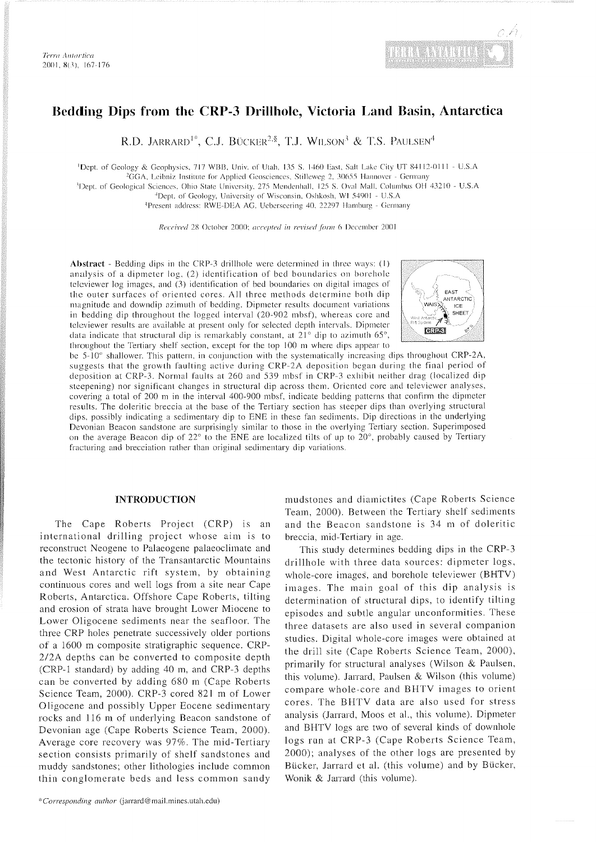

# Bedding Dips from the CRP-3 Drillhole, Victoria Land Basin, Antarctica

R.D. JARRARD<sup>1\*</sup>, C.J. BÜCKER<sup>2,§</sup>, T.J. WILSON<sup>3</sup> & T.S. PAULSEN<sup>4</sup>

'Dept. of Geology & Geophysics, 717 WBB, Univ. of Utah, 135 S. 1460 East, Salt Lake City UT 84112-0111 - U.S.A <sup>2</sup>GGA, Leibniz Institute for Applied Geosciences, Stilleweg 2, 30655 Hannover - Germany <sup>3</sup>Dept. of Geological Sciences, Ohio State University, 275 Mendenhall, 125 S. Oval Mall. Columbus OH 43210 - U.S.A

.'Dcpi. of Geology. University of Wisconsin. Oslikosli. Wl 540Ol - U.S.A

<sup>§</sup>Present address: RWE-DEA AG, Ueberseering 40, 22297 Hamburg - Germany

Received 28 October 2000; accepted in revised form 6 December 2001

Abstract - Bedding dips in the CRP-3 drillhole were determined in three ways: (1) analysis of a dipmeter log, (2) identification of bed boundaries on borehole televiewer log images, and  $(3)$  identification of bed boundaries on digital images of the outer surfaces of oriented cores. All three methods determine both dip magnitude and downdip azimuth of bedding. Dipmeter results document variations in bedding dip throughout the logged interval (20-902 mbsf). whereas core and televiewer results are available at present only for selected depth intervals. Dipmeter data indicate that structural dip is remarkably constant, at  $21^\circ$  dip to azimuth 65°. throughout the Tertiary shelf section, except for the top 100 m where dips appear to



be 5-10° shallower. This pattern, in conjunction with the systematically increasing dips throughout CRP-2A, suggests that the growth faulting active during CRP-2A deposition began during the final period of deposition at CRP-3. Normal faults at 260 and 539 mbsf in CRP-3 exhibit neither drag (localized dip steepening) nor significant changes in structural dip across them. Oriented core and televiewer analyses. covering a total of 200 m in the interval 400-900 mbsf. indicate bedding patterns that confirm the dipmeter results. The doleritic breccia at the base of the Tertiary section has steeper dips than overlying structural dips. possibly indicating a sedimentary dip to ENE in these fan sediments. Dip directions in the underlying Devonian Beacon sandstone are surprisingly similar to those in the overlying Tertiary section. Superimposed on the average Beacon dip of  $22^{\circ}$  to the ENE are localized tilts of up to  $20^{\circ}$ , probably caused by Tertiary fracturing and brecciation rather than original sedimentary dip variations.

#### **INTRODUCTION**

The Cape Roberts Project (CRP) is an international drilling project whose aim is to reconstruct Neogene to Palaeogene palaeoclimate and the tectonic history of the Transantarctic Mountains and West Antarctic rift system, by obtaining continuous cores and well logs from a site near Cape Roberts, Antarctica. Offshore Cape Roberts, tilting and erosion of strata have brought Lower Miocene to Lower Oligocene sediments near the seafloor. The three CRP holes penetrate successively older portions of a 1600 m composite stratigraphic sequence. CRP-2/2A depths can be converted to composite depth (CRP-1 standard) by adding 40 m, and CRP-3 depths can be converted by adding 680 m (Cape Roberts Science Team. 2000). CRP-3 cored 821 m of Lower Oligocene and possibly Upper Eocene sedimentary rocks and 116 m of underlying Beacon sandstone of Devonian age (Cape Roberts Science Team, 2000). Average core recovery was 97%. The mid-Tertiary section consists primarily of shelf sandstones and muddy sandstones; other lithologies include common thin conglomerate beds and less common sandy

mudstones and diamictites (Cape Roberts Science Team, 2000). Between the Tertiary shelf sediments and the Beacon sandstone is 34 m of doleritic breccia. mid-Tertiary in age.

This study determines bedding dips in the CRP-3 drillhole with three data sources: dipmeter logs, whole-core images, and borehole televiewer (BHTV) images. The main goal of this dip analysis is determination of structural dips, to identify tilting episodes and subtle angular unconformities. These three datasets are also used in several companion studies. Digital whole-core images were obtained at the drill site (Cape Roberts Science Team, 2000). primarily for structural analyses (Wilson & Paulsen. this volume). Jarrard, Paulsen & Wilson (this volume) compare whole-core and BHTV images to orient cores. The BHTV data are also used for stress analysis (Jarrard, Moos et al., this volume). Dipmeter and BHTV logs are two of several kinds of downliole logs run at CRP-3 (Cape Roberts Science Team, 2000); analyses of the other logs are presented by Biicker, Jarrard et al. (this volume) and by Bucker, Wonik & Jarrard (this volume).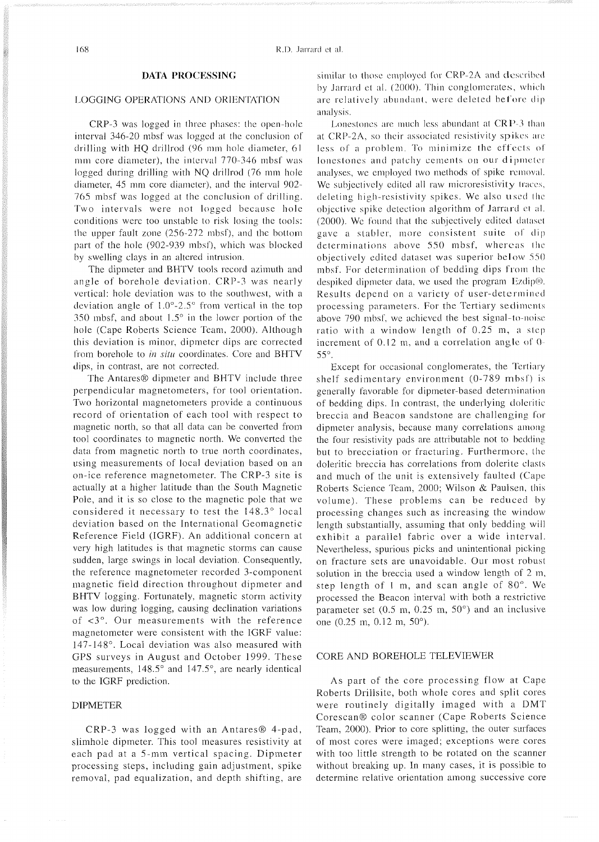### **DATA PROCESSING**

## **l** .OGGING OPERATIONS AND ORIENTATION

CRP-3 was logged in three phases: the open-hole interval 346-20 mbsf was logged at the conclusion of drilling with HQ drillrod (96 mm hole diameter, 61 mm core diameter), the interval  $770-346$  mbsf was logged during drilling with NQ drillrod (76 mm hole diameter. 45 mm core diameter), and the interval 902-765 mbsf was logged at the conclusion of drilling. Two intervals were not logged because hole conditions were too unstable to risk losing the tools: the upper fault zone  $(256-272 \text{ mbsf})$ , and the bottom part of the hole (902-939 mbsf), which was blocked hy swelling clays in an altered intrusion.

The dipmeter and BHTV tools record azimuth and angle of borehole deviation. CRP-3 was nearly vertical: hole deviation was to the southwest, with a deviation angle of  $1.0^{\circ}$ -2.5° from vertical in the top 350 mbsf, and about  $1.5^\circ$  in the lower portion of the hole (Cape Roberts Science Team, 2000). Although this deviation is minor, dipmeter dips are corrected from borehole to in situ coordinates. Core and BHTV dips, in contrast, are not corrected.

The Antares<sup>®</sup> dipmeter and BHTV include three perpendicular magnetometers, for tool orientation. Two horizontal magnetometers provide a continuous record of orientation of each tool with respect to magnetic north, so that all data can be converted from tool coordinates to magnetic north. We converted the data from magnetic north to true north coordinates, using measurements of local deviation based on an on-ice reference magnetometer. The CRP-3 site is actually at a higher latitude than the South Magnetic Pole, and it is so close to the magnetic pole that we considered it necessary to test the 148.3' local deviation based on the International Geomagnetic Reference Field (IGRF). An additional concern at very high latitudes is that magnetic storms can cause sudden, large swings in local deviation. Consequently, the reference magnetometer recorded 3-component magnetic field direction throughout dipmeter and BHTV logging. Fortunately, magnetic storm activity was low during logging, causing declination variations of <3'. Our measurements with the reference magnetometer were consistent with the IGRF value: 147-148'. Local deviation was also measured with GPS surveys in August and October 1999. These measurements, 148.5° and 147.5°, are nearly identical to the IGRF prediction.

#### DIPMETER

 $CRP-3$  was logged with an Antares $@$  4-pad, slimhole dipmeter. This tool measures resistivity at each pad at a 5-mm vertical spacing. Dipmeter processing steps, including gain adjustment, spike removal, pad equalization, and depth shifting, are

similar to those employed for CRP-2A and described by Jarrard et al. (2000). Thin conglomerates, which are relatively abundant, were deleted before dip analysis.

Lonestones are much less abundant at  $CRP-3$  than at CRP-2A, so their associated resistivity spikes are less of a problem. To minimize the effects of lonestones and patchy cements on our dipmeter analyses, we employed two methods of spike removal. We subjectively edited all raw microresistivity traces, deleting high-resistivity spikes. We also used the objective spike detection algorithm of Jarrard et al.  $(2000)$ . We found that the subjectively edited dataset gave a stables, more consistent suite **of** dip determinations above 550 mbsf, whereas the objectively edited dataset was superior below 550 mbsf. For determination of bedding dips from the despiked dipmeter data, we used the program Ezdip®. Results depend on a variety of user-determined processing parameters. For the Tertiary sediments above 790 mbsf, we achieved the best signal-to-noise ratio with a window length of  $0.25$  m, a step increment of 0.12 m, and a correlation angle of 0-55'.

Except for occasional conglomerates, the Tertiary shelf sedimentary environment (0-789 mbsf) is generally favorable for dipmeter-based determination of bedding dips. In contrast, the underlying doleritic breccia and Beacon sandstone are challenging for dipmeter analysis, because many correlations among the four resistivity pads are attributable not to bedding but to brecciation or fracturing. Furthermore, the doleritic breccia has correlations from dolerite clasis and much of the unit is extensively faulted (Cape Roberts Science Team, 2000; Wilson & Paulsen, this volume). These problems can be reduced by processing changes such as increasing the window length substantially, assuming that only bedding will exhibit a parallel fabric over a wide interval. Nevertheless, spurious picks and unintentional picking on fracture sets are unavoidable. Our most robust solution in the breccia used a window length of 2 m, step length of 1 m, and scan angle of 80'. We processed the Beacon interval with both a restrictive parameter set  $(0.5 \text{ m}, 0.25 \text{ m}, 50^{\circ})$  and an inclusive one (0.25 m, 0.12 m, 50').

#### CORE AND BOREHOLE TELEVIEWER

As part of the core processing flow at Cape Roberts Drillsite, both whole cores and split cores were routinely digitally imaged with a DMT Corescan@ color scanner (Cape Roberts Science Team, 2000). Prior to core splitting, the outer surfaces of most cores were imaged; exceptions were cores with too little strength to be rotated on the scanner without breaking up. In many cases, it is possible to determine relative orientation among successive core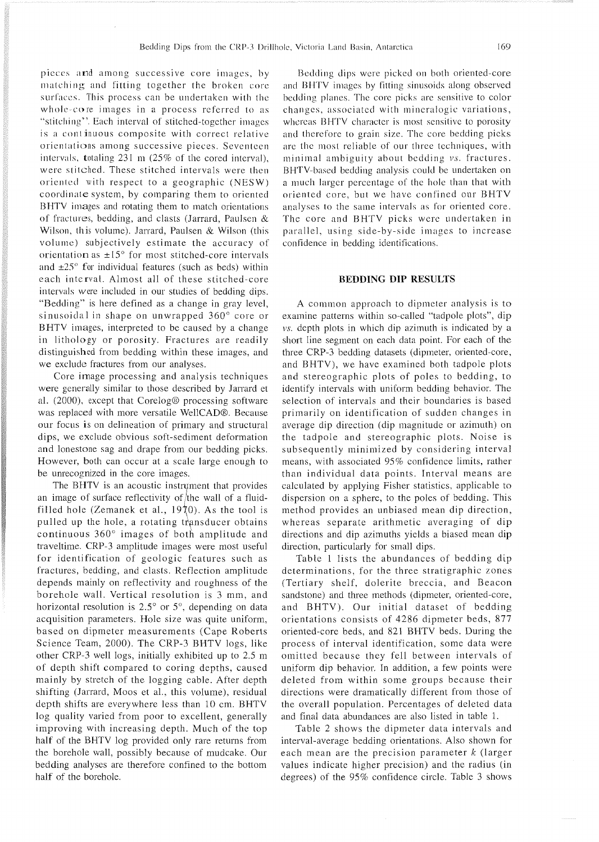pieces and among successive core images, by matching and fitting together the broken core surfaces. This process can be undertaken with the whole-core images in a process referred to as "stitching". Each interval of stitched-together images is a continuous composite with correct relative orientations among successive pieces. Seventeen intervals, totaling  $231 \text{ m}$  ( $25\%$  of the cored interval). were stitched. These stitched intervals were then oriented with respect to a geographic (NESW) coordinate system, by comparing them to oriented BHTV images and rotating them to match orientations of fractures, bedding, and clasts (Jarrard, Paulsen & Wilson, this volume). Jarrard, Paulsen & Wilson (this volume) subjectively estimate the accuracy of orientation as  $\pm 15^{\circ}$  for most stitched-core intervals and  $\pm 25^\circ$  for individual features (such as beds) within each interval. Almost all of these stitched-core intervals were included in our studies of bedding dips. "Bedding" is here defined as a change in gray level, sinusoidal in shape on unwrapped 360' core or BHTV images, interpreted to be caused by a change in lithology or porosity. Fractures are readily distinguished from bedding within these images, and we exclude fractures from our analyses.

Core image processing and analysis techniques were generally similar to those described by Jarrard et al. (2000), except that Corelog@ processing software was replaced with more versatile WellCAD®. Because our focus is on delineation of primary and structural dips, we exclude obvious soft-sediment deformation and lonestone sag and drape from our bedding picks. However, both can occur at a scale large enough to be unrecognized in the core images.

The BHTV is an acoustic instrument that provides an image of surface reflectivity of  $/$ the wall of a fluidfilled hole (Zemanek et al.,  $19\overline{7}0$ ). As the tool is pulled up the hole, a rotating transducer obtains continuous 360° images of both amplitude and traveltime. CRP-3 amplitude images were most useful for identification of geologic features such as fractures, bedding, and clasts. Reflection amplitude depends mainly on reflectivity and roughness of the borehole wall. Vertical resolution is 3 mm, and horizontal resolution is  $2.5^{\circ}$  or  $5^{\circ}$ , depending on data acquisition parameters. Hole size was quite uniform, based on dipmeter measurements (Cape Roberts Science Team, 2000). The CRP-3 BHTV logs, like other CRP-3 well logs, initially exhibited up to 2.5 m of depth shift compared to coring depths, caused mainly by stretch of the logging cable. After depth shifting (Jarrard, Moos et al., this volume), residual depth shifts are everywhere less than 10 cm. BHTV log quality varied from poor to excellent, generally improving with increasing depth. Much of the top half of the BHTV log provided only rare returns from the borehole wall, possibly because of mudcake. Our bedding analyses are therefore confined to the bottom half of the borehole.

Bedding dips were picked on both oriented-core and BHTV images by fitting sinusoids along observed bedding planes. The core picks are sensitive to color changes, associated with mincralogic variations, whereas BHTV character is most sensitive to porosity and therefore to grain size. The core bedding picks are the most reliable of our three techniques, with minimal ambiguity about bedding vs. fractures. BHTV-bascd bedding analysis could be undertaken on a much larger percentage of the hole than that with oriented core, but we have confined our BHTV analyses to the same intervals as for oriented core. The core and BHTV picks were undertaken in parallel, using side-by-side images to increase confidence in bedding identifications.

#### **BEDDING DIP RESULTS**

A common approach to dipmeter analysis is to examine patterns within so-called "tadpole plots", dip vs. depth plots in which dip azimuth is indicated by a short line segment on each data point. For each of the three CRP-3 bedding datasets (dipmeter, oriented-core, and BHTV), we have examined both tadpole plots and stereographic plots of poles to bedding, to identify intervals with uniform bedding behavior. The selection of intervals and their boundaries is based primarily on identification of sudden changes in average dip direction (dip magnitude or azimuth) on the tadpole and stereographic plots. Noise is subsequently minimized by considering interval means, with associated 95% confidence limits, rather than individual data points. Interval means are calculated by applying Fisher statistics, applicable to dispersion on a sphere, to the poles of bedding. This method provides an unbiased mean dip direction, whereas separate arithmetic averaging of dip directions and dip azimuths yields a biased mean dip direction, particularly for small dips.

Table 1 lists the abundances of bedding dip determinations, for the three stratigraphic zones (Tertiary shelf, dolerite breccia, and Beacon sandstone) and three methods (dipmeter, oriented-core, and BHTV). Our initial dataset of bedding orientations consists of 4286 dipmeter beds, 877 oriented-core beds, and 821 BHTV beds. During the process of interval identification, some data were omitted because they fell between intervals of uniform dip behavior. In addition, a few points were deleted from within some groups because their directions were dramatically different from those of the overall population. Percentages of deleted data and final data abundances are also listed in table 1.

Table 2 shows the dipmeter data intervals and interval-average bedding orientations. Also shown for each mean are the precision parameter  $k$  (larger values indicate higher precision) and the radius (in degrees) of the 95% confidence circle. Table 3 shows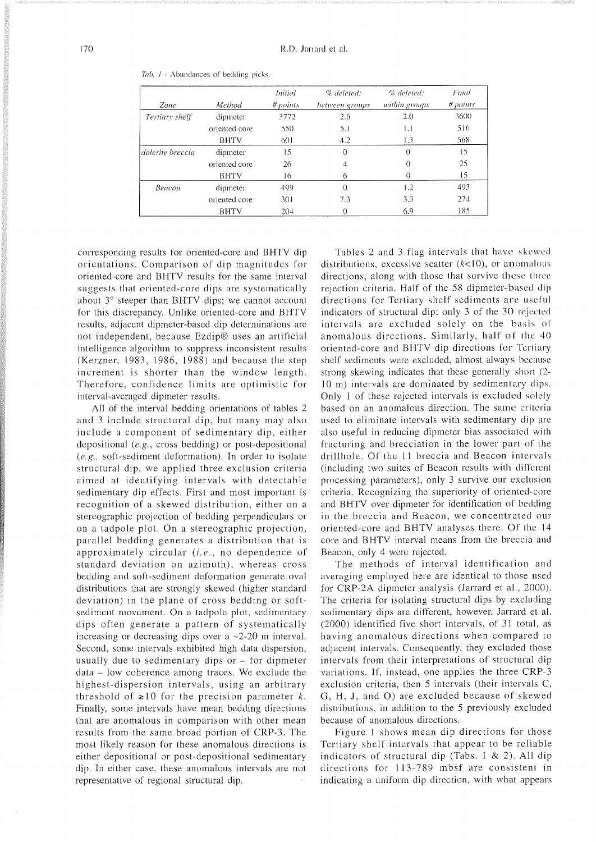|                  |               | <i>Initial</i> | % deleted:     | % deleted:    | Final    |
|------------------|---------------|----------------|----------------|---------------|----------|
| Zone             | Method        | # points       | between groups | within groups | # points |
| Tertiary shelf   | dipmeter      | 3772           | 2.6            | 2.0           | 3600     |
|                  | oriented core | 550            | 5.1            | 1.1           | 516      |
|                  | <b>BHTV</b>   | 601            | 4.2            | 1.3           | 568      |
| dolerite breccia | dipmeter      | 15             | 0              | Ω             | 15       |
|                  | oriented core | 26             | 4              | 0             | 25       |
|                  | <b>BHTV</b>   | 16             | 6              |               | 15       |
| Beacon           | dipmeter      | 499            | $\Omega$       | 1.2           | 493      |
|                  | oriented core | 301            | 7.3            | 3.3           | 274      |
|                  | <b>BHTV</b>   | 204            | 0              | 6.9           | 185      |

*Tab.* I - Abundances of bedding picks.

corresponding results for oriented-core and BHTV dip orientations. Comparison of dip magnitudes for oriented-core and BHTV results for the same interval suggests that oriented-core dips are systematically about 3° steeper than BHTV dips; we cannot account for this discrepancy. Unlike oriented-core and BHTV results, adjacent dipmeter-based dip determinations are not independent, because Ezdip<sup>®</sup> uses an artificial intelligence algorithm to suppress inconsistent results (Kerzner, 1983, 1986, 1988) and because the step increment is shorter than the window length. Therefore, confidence limits are optimistic for interval-averaged dipmeter results.

All of the interval bedding orientations of tables 2 and 3 include structural dip, but many may also include a component of sedimentary dip, either depositional (e.g., cross bedding) or post-depositional *(e.g.,* soft-sediment deformation). In order to isolate structural dip, we applied three exclusion criteria aimed at identifying intervals with detectable sedimentary dip effects. First and most important is recognition of a skewed distribution, either on a stereographic projection of bedding perpendiculars or on a tadpole plot. On a stereographic projection, parallel bedding generates a distribution that is approximately circular **(i.e.,** no dependence of standard deviation on azimuth), whereas cross bedding and soft-sediment deformation generate oval distributions that are strongly skewed (higher standard deviation) in the plane of cross bedding or softsediment movement. On a tadpole plot, sedimentary dips often generate a pattern of systematically increasing or decreasing dips over a  $\sim$ 2-20 m interval. Second, some intervals exhibited high data dispersion, usually due to sedimentary dips or - for dipmeter data - low coherence among traces. We exclude the highest-dispersion intervals, using an arbitrary threshold of  $\geq 10$  for the precision parameter *k*. Finally, some intervals have mean bedding directions that are anomalous in comparison with other mean results from the same broad portion of CRP-3. The most likely reason for these anomalous directions is either depositional or post-depositional sedimentary dip. In either case, these anomalous intervals are not representative of regional structural dip.

Tables 2 and 3 flag intervals that have skewed distributions, excessive scatter  $(k<10)$ , or anomalous directions, along with those that survive these three rejection criteria. Half of the 58 dipmeter-based dip directions for Tertiary shelf sediments are useful indicators of structural dip; only 3 of the 30 rejected intervals are excluded solely on the basis ol' anomalous directions. Similarly, half of the 40 oriented-core and BHTV dip directions for Tertiary shelf sediments were excluded, almost always because strong skewing indicates that these generally short (2- 10 m) intervals are dominated by sedimentary dips. Only 1 of these rejected intervals is excluded solely based on an anomalous direction. The same criteria used to eliminate intervals with sedimentary dip arc also useful in reducing dipmeter bias associated with fracturing and brecciation in the lower part of the drillhole. Of the 11 breccia and Beacon intervals (including two suites of Beacon results with different processing parameters), only 3 survive our exclusion criteria. Recognizing the superiority of oriented-core and BHTV over dipmeter for identification of bedding in the breccia and Beacon, we concentrated our oriented-core and BHTV analyses there. Of the 14 core and BHTV interval means from the breccia and Beacon, only 4 were rejected.

The methods of interval identification and averaging employed here are identical to those used for CRP-2A dipmeter analysis (Jarrard et al., 2000). The criteria for isolating structural dips by excluding sedimentary dips are different, however. Jarrard et al. (2000) identified five short intervals, of 31 total, as having anomalous directions when compared to adjacent intervals. Consequently, they excluded those intervals from their interpretations of structural dip variations. If, instead, one applies the three CRP-3 exclusion criteria, then 5 intervals (their intervals C. G, H, J, and 0) are excluded because of skewed distributions, in addition to the *5* previously excluded because of anomalous directions.

Figure 1 shows mean dip directions for those Tertiary shelf intervals that appear to be reliable indicators of structural dip (Tabs. 1 & 2). All dip directions for 113-789 mbsf are consistent in indicating a uniform dip direction, with what appears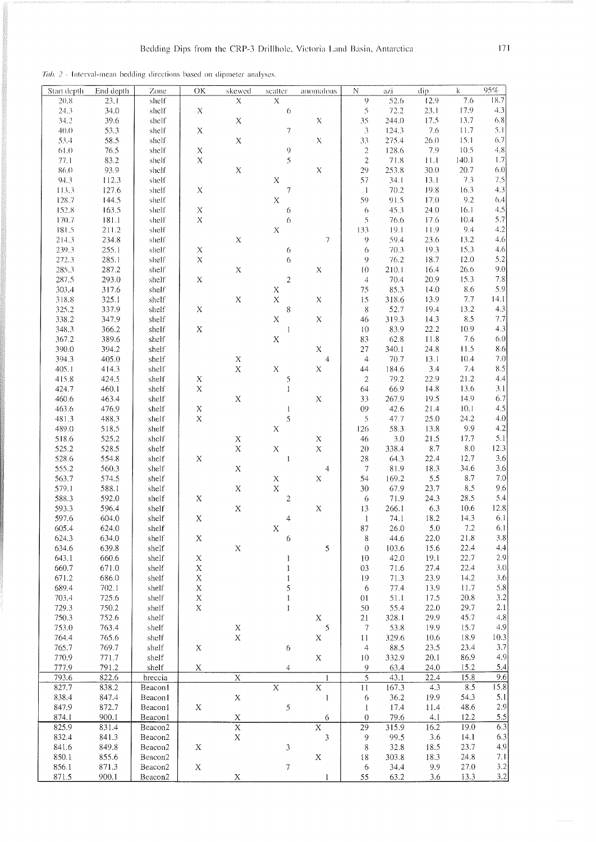Tab. 2 - Interval-mean bedding directions based on dipmeter analyses.

| Start depth | End depth | Zone                | OK               | skewed                  | scatter                        | anomalous                | $\mathbb N$              | azi   | dip  | k     | 95%     |
|-------------|-----------|---------------------|------------------|-------------------------|--------------------------------|--------------------------|--------------------------|-------|------|-------|---------|
| 20.8        | 23.1      | shelf               |                  | $\mathsf X$             | $\mathsf X$                    |                          | 9                        | 52.6  | 12.9 | 7.6   | 18.7    |
| 24.3        | 34.0      | shelf               | $\mathsf{X}$     |                         | $\sqrt{6}$                     |                          | 5                        | 72.2  | 23.1 | 17.9  | 4.3     |
|             |           |                     |                  |                         |                                |                          |                          |       |      | 13.7  | 6.8     |
| 34.2        | 39.6      | shelf               |                  | $\mathsf X$             |                                | $\mathsf X$              | 35                       | 244.0 | 17.5 |       |         |
| 40.0        | 53.3      | shelf               | $\mathsf X$      |                         | $\boldsymbol{7}$               |                          | 3                        | 124.3 | 7.6  | 11.7  | 5.1     |
| 53.4        | 58.5      | shelf               |                  | $\mathsf X$             |                                | X                        | 33                       | 275.4 | 26.0 | 15.1  | 6.7     |
| 61.0        | 76.5      | shelf               | $\mathsf X$      |                         | 9                              |                          | $\sqrt{2}$               | 128.6 | 7.9  | 10.5  | 4.8     |
| 77.1        | 83.2      | shelf               | $\bar{\text{X}}$ |                         | 5                              |                          | $\overline{c}$           | 71.8  | 11.1 | 140.1 | 1.7     |
| 86.0        | 93.9      | shelf               |                  | $\mathbf X$             |                                | $\mathbf X$              | 29                       | 253.8 | 30.0 | 20.7  | 6.0     |
| 94.3        | 112.3     | shelf               |                  |                         | $\mathsf X$                    |                          | 57                       | 34.1  | 13.1 | 7.3   | 7.5     |
| 113.3       | 127.6     | shelf               | $\mathsf X$      |                         | $\boldsymbol{7}$               |                          | $\mathbf{1}$             | 70.2  | 19.8 | 16.3  | 4.3     |
| 128.7       | 144.5     | shelf               |                  |                         | $\bar{\text{X}}$               |                          | 59                       | 91.5  | 17.0 | 9.2   | 6.4     |
|             |           |                     |                  |                         |                                |                          |                          |       |      |       |         |
| 152.8       | 163.5     | shelf               | $\mathsf X$      |                         | 6                              |                          | $\ddot{\circ}$           | 45.3  | 24.0 | 16.1  | 4.5     |
| 170.7       | 181.1     | shelf               | $\bar{\text{X}}$ |                         | 6                              |                          | 5                        | 76.6  | 17.6 | 10.4  | 5.7     |
| 181.5       | 211.2     | shelf               |                  |                         | $\bar{\text{X}}$               |                          | 133                      | 19.1  | 11.9 | 9.4   | 4.2     |
| 214.3       | 234.8     | shelf               |                  | $\mathbf X$             |                                | $\overline{\phantom{a}}$ | 9                        | 59.4  | 23.6 | 13.2  | 4.6     |
| 239.3       | 255.1     | shelf               | $\mathbf X$      |                         | 6                              |                          | 6                        | 70.3  | 19.3 | 15.3  | 4.6     |
| 272.3       | 285.1     | shelf               | $\mathbf X$      |                         | 6                              |                          | 9                        | 76.2  | 18.7 | 12.0  | 5.2     |
| 285.3       | 287.2     | shelf               |                  | $\mathbf X$             |                                | X                        | 10                       | 210.1 | 16.4 | 26.6  | 9.0     |
| 287.5       | 293.0     | shelf               | $\mathbf X$      |                         | $\sqrt{2}$                     |                          | $\overline{4}$           | 70.4  | 20.9 | 15.3  | 7.8     |
|             |           |                     |                  |                         | $\mathsf X$                    |                          | 75                       | 85.3  | 14.0 | 8.6   | 5.9     |
| 303.4       | 317.6     | shelf               |                  |                         |                                |                          |                          |       |      |       |         |
| 318.8       | 325.1     | shelf               |                  | $\mathsf X$             | $\mathbf X$                    | X                        | 15                       | 318.6 | 139  | 7.7   | 14.1    |
| 325.2       | 337.9     | shelf               | $\mathbf X$      |                         | 8                              |                          | $8\phantom{1}$           | 52.7  | 19.4 | 13.2  | 4.3     |
| 338.2       | 347.9     | shelf               |                  |                         | $\bar{\text{X}}$               | $\mathbf X$              | 46                       | 319.3 | 14.3 | 8.5   | 7.7     |
| 348.3       | 366.2     | shelf               | $\mathbf X$      |                         | $\begin{array}{c} \end{array}$ |                          | 10                       | 83.9  | 22.2 | 10.9  | 4.3     |
| 367.2       | 389.6     | shelf               |                  |                         | $\mathbf X$                    |                          | 83                       | 62.8  | 11.8 | 7.6   | 6.0     |
| 390.0       | 394.2     | shelf               |                  |                         |                                | $\bar{\text{X}}$         | 27                       | 340.1 | 24.8 | 11.5  | 8.6     |
| 394.3       | 405.0     | shelf               |                  | $\mathbf X$             |                                | $\overline{4}$           | $\overline{4}$           | 70.7  | 13.1 | 10.4  | 7.0     |
| 405.1       | 414.3     | shelf               |                  | $\mathbf X$             | $\mathbf X$                    | $\mathbf X$              | 44                       | 184.6 | 3.4  | 7.4   | 8.5     |
|             |           |                     |                  |                         |                                |                          |                          |       |      |       |         |
| 415.8       | 424.5     | shelf               | $\mathbf X$      |                         | 5                              |                          | $\sqrt{2}$               | 79.2  | 22.9 | 21.2  | 4.4     |
| 424.7       | 460.1     | shelf               | $\bar{\text{X}}$ |                         | $\mathbf{1}$                   |                          | 64                       | 66.9  | 14.8 | 13.6  | 3.1     |
| 460.6       | 463.4     | shelf               |                  | $\mathbf X$             |                                | $\mathbf X$              | 33                       | 267.9 | 19.5 | 14.9  | 6.7     |
| 463.6       | 476.9     | shelf               | $\mathbf X$      |                         | $\mathbf{l}$                   |                          | 09                       | 42.6  | 21.4 | 10.1  | 4.5     |
| 481.3       | 488.3     | shelf               | $\bar{\text{X}}$ |                         | 5                              |                          | 5                        | 47.7  | 25.0 | 24.2  | 4.0     |
| 489.0       | 518.5     | shelf               |                  |                         | $\mathbf X$                    |                          | 126                      | 58.3  | 13.8 | 9.9   | 4.2     |
| 518.6       | 525.2     | shelf               |                  | $\mathbf X$             |                                | $\mathbf X$              | 46                       | 3.0   | 21.5 | 17.7  | 5.1     |
| 525.2       | 528.5     | shelf               |                  | $\rm X$                 | $\mathbf X$                    | $\bar{\text{X}}$         | 20                       | 338.4 | 8.7  | 8.0   | 12.3    |
|             |           |                     |                  |                         |                                |                          |                          |       |      |       | 3.6     |
| 528.6       | 554.8     | shelf               | $\mathbf X$      |                         | $\mathbf{1}$                   |                          | 28                       | 64.3  | 22.4 | 12.7  |         |
| 555.2       | 560.3     | shelf               |                  | $\mathbf X$             |                                | $\overline{4}$           | $\overline{7}$           | 81.9  | 18.3 | 34.6  | 3.6     |
| 563.7       | 574.5     | shelf               |                  |                         | $\mathbf X$                    | $\mathbf X$              | 54                       | 169.2 | 5.5  | 8.7   | 7.0     |
| 579.1       | 588.1     | shelf               |                  | $\mathbf X$             | $\mathbf X$                    |                          | 30                       | 67.9  | 23.7 | 8.5   | 9.6     |
| 588.3       | 592.0     | shelf               | $\mathbf X$      |                         | $\boldsymbol{2}$               |                          | 6                        | 71.9  | 24.3 | 28.5  | 5.4     |
| 593.3       | 596.4     | shelf               |                  | $\mathbf X$             |                                | $\mathbf X$              | 13                       | 266.1 | 6.3  | 10.6  | 12.8    |
| 597.6       | 604.0     | shelf               | $\mathbf X$      |                         | $\overline{4}$                 |                          | $\mathbf{1}$             | 74.1  | 18.2 | 14.3  | 6.1     |
| 605.4       | 624.0     | shelf               |                  |                         | X                              |                          | 87                       | 26.0  | 5.0  | 7.2   | 6.1     |
|             |           |                     |                  |                         |                                |                          |                          | 44.6  |      | 21.8  | $3.8\,$ |
| 624.3       | 634.0     | shelf               | X                |                         | 6                              |                          | 8                        |       | 22.0 |       |         |
| 634.6       | 639.8     | shelf               |                  | $\mathbf X$             |                                | 5                        | $\theta$                 | 103.6 | 15.6 | 22.4  | 4,4     |
| 643.1       | 660.6     | shelf               | X                |                         | $\mathbf{1}$                   |                          | 10                       | 42.0  | 19.1 | 22.7  | 2.9     |
| 660.7       | 671.0     | shelf               | $\mathbf X$      |                         | $\mathbf{1}$                   |                          | 03                       | 71.6  | 27.4 | 22.4  | 3.0     |
| 671.2       | 686.0     | shelf               | $\mathbf X$      |                         | $\mathbf{1}$                   |                          | 19                       | 71.3  | 23.9 | 14.2  | 3.6     |
| 689.4       | 702.1     | shelf               | X                |                         | 5                              |                          | 6                        | 77.4  | 13.9 | 11.7  | 5.8     |
| 703.4       | 725.6     | shelf               | X                |                         | $\mathbf{1}$                   |                          | 01                       | 51.1  | 17.5 | 20.8  | 3.2     |
| 729.3       | 750.2     | shelf               | $\mathbf X$      |                         | $\mathbf{1}$                   |                          | 50                       | 55.4  | 22.0 | 29.7  | 2.1     |
| 750.3       | 752.6     | shelf               |                  |                         |                                | $\mathbf X$              | $21$                     | 328.1 | 29.9 | 45.7  | 4.8     |
|             |           |                     |                  |                         |                                |                          |                          |       |      |       |         |
| 753.0       | 763.4     | shelf               |                  | $\mathbf X$             |                                | $\sqrt{5}$               | $\overline{\phantom{a}}$ | 53.8  | 19.9 | 15.7  | 4.9     |
| 764.4       | 765.6     | shelf               |                  | $\mathbf X$             |                                | $\mathbf X$              | 11                       | 329.6 | 10.6 | 18.9  | 10.3    |
| 765.7       | 769.7     | shelf               | $\mathbf X$      |                         | $\epsilon$                     |                          | $\overline{4}$           | 88.5  | 23.5 | 23.4  | 3.7     |
| 770.9       | 771.7     | shelf               |                  |                         |                                | X                        | 10                       | 332.9 | 20.1 | 86.9  | 4.9     |
| 777.9       | 791.2     | shelf               | $\overline{X}$   |                         | $\overline{4}$                 |                          | 9                        | 63.4  | 24.0 | 15.2  | 5.4     |
| 793.6       | 822.6     | breccia             |                  | $\overline{\mathbf{X}}$ |                                | $\mathbf{1}$             | $\overline{5}$           | 43.1  | 22.4 | 15.8  | 9.6     |
| 827.7       | 838.2     | Beacon1             |                  |                         | $\overline{X}$                 | $\overline{X}$           | $1\,1$                   | 167.3 | 4.3  | 8.5   | 15.8    |
| 838.4       | 847.4     | Beaconl             |                  | $\mathbf X$             |                                | $\mathbf{1}$             | 6                        | 36.2  | 19.9 | 54.3  | 5.1     |
| 847.9       | 872.7     | Beacon1             | $\mathbf X$      |                         | $\sqrt{5}$                     |                          | $\mathbf{1}$             | 17.4  | 11.4 | 48.6  | 2.9     |
|             |           | Beaconl             |                  |                         |                                |                          |                          |       |      |       |         |
| 874.1       | 900.1     |                     |                  | $\frac{X}{X}$           |                                | 6                        | $\overline{0}$           | 79.6  | 4.1  | 12.2  | 5.5     |
| 825.9       | 831.4     | Beacon2             |                  |                         |                                | $\overline{X}$           | $\overline{29}$          | 315.9 | 16.2 | 19.0  | 6.3     |
| 832.4       | 841.3     | Beacon <sub>2</sub> |                  | $\rm X$                 |                                | 3                        | 9                        | 99.5  | 3.6  | 14.1  | 6.3     |
| 841.6       | 849.8     | Beacon2             | X                |                         | $\sqrt{3}$                     |                          | 8                        | 32.8  | 18.5 | 23.7  | 4.9     |
| 850.1       | 855.6     | Beacon2             |                  |                         |                                | $\mathbf X$              | 18                       | 303.8 | 18.3 | 24.8  | 7.1     |
| 856.1       | 871.3     | Beacon2             | $\mathbf X$      |                         | $\boldsymbol{7}$               |                          | 6                        | 34.4  | 9.9  | 27.0  | $3.2\,$ |
| 871.5       | 900.1     | Beacon2             |                  | X                       |                                |                          | 55                       | 63.2  | 3.6  | 13.3  | 3.2     |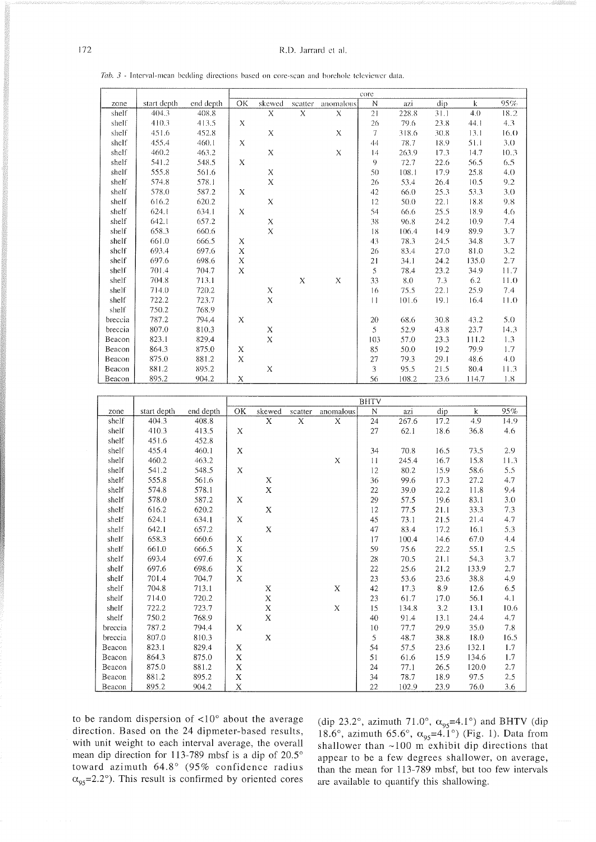#### R.D. Jarrard et al.

Tab. 3 - Interval-mean bedding directions based on core-scan and borehole televiewer data.

|         |             |           |                           |             |         |             | core |       |      |         |         |
|---------|-------------|-----------|---------------------------|-------------|---------|-------------|------|-------|------|---------|---------|
| zone    | start depth | end depth | OK                        | skewed      | scatter | anomalous   | N    | azi   | dip  | $\bf k$ | 95%     |
| shelf   | 404.3       | 408.8     |                           | X           | X       | X           | 21   | 228.8 | 31.1 | 4.0     | 18.2    |
| shelf   | 410.3       | 413.5     | X                         |             |         |             | 26   | 79.6  | 23.8 | 44.1    | 4.3     |
| shelf   | 451.6       | 452.8     |                           | X           |         | X           | 7    | 318.6 | 30.8 | 13.1    | 16.0    |
| shelf   | 455.4       | 460.1     | X                         |             |         |             | 44   | 78.7  | 18.9 | 51.1    | 3.0     |
| shelf   | 460.2       | 463.2     |                           | $\mathbf X$ |         | $\mathbf X$ | 4    | 263.9 | 17.3 | 14.7    | 10.3    |
| shelf   | 541.2       | 548.5     | X                         |             |         |             | 9    | 72.7  | 22.6 | 56.5    | 6.5     |
| shelf   | 555.8       | 561.6     |                           | X           |         |             | 50   | 108.1 | 17.9 | 25.8    | 4.0     |
| shelf   | 574.8       | 578.1     |                           | X           |         |             | 26   | 53.4  | 26.4 | 10.5    | $9.2\,$ |
| shelf   | 578.0       | 587.2     | X                         |             |         |             | 42   | 66.0  | 25.3 | 53.3    | 3.0     |
| shelf   | 616.2       | 620.2     |                           | X           |         |             | 12   | 50.0  | 22.1 | 18.8    | 9.8     |
| shelf   | 624.1       | 634.1     | X                         |             |         |             | 54   | 66.6  | 25.5 | 18.9    | 4.6     |
| shelf   | 642.1       | 657.2     |                           | X           |         |             | 38   | 96.8  | 24.2 | 10.9    | 7.4     |
| shelf   | 658.3       | 660.6     |                           | $\mathbf X$ |         |             | 18   | 106.4 | 14.9 | 89.9    | 3.7     |
| shelf   | 661.0       | 666.5     | X                         |             |         |             | 43   | 78.3  | 24.5 | 34.8    | 3.7     |
| shelf   | 693.4       | 697.6     | X                         |             |         |             | 26   | 83.4  | 27.0 | 81.0    | 3.2     |
| shelf   | 697.6       | 698.6     | X                         |             |         |             | 21   | 34.1  | 24.2 | 135.0   | 2.7     |
| shelf   | 701.4       | 704.7     | $\boldsymbol{\mathsf{X}}$ |             |         |             | 5    | 78.4  | 23.2 | 34.9    | 11.7    |
| shelf   | 704.8       | 713.1     |                           |             | X       | X           | 33   | 8.0   | 7.3  | $6.2\,$ | 11.0    |
| shelf   | 714.0       | 720.2     |                           | $\mathbf X$ |         |             | 16   | 75.5  | 22.1 | 25.9    | 7.4     |
| shelf   | 722.2       | 723.7     |                           | $\mathbf X$ |         |             | 11   | 101.6 | 19.1 | 16.4    | 11.0    |
| shelf   | 750.2       | 768.9     |                           |             |         |             |      |       |      |         |         |
| breccia | 787.2       | 794.4     | X                         |             |         |             | 20   | 68.6  | 30.8 | 43.2    | 5.0     |
| breccia | 807.0       | 810.3     |                           | X           |         |             | 5    | 52.9  | 43.8 | 23.7    | 14.3    |
| Beacon  | 823.1       | 829.4     |                           | $\mathbf X$ |         |             | 103  | 57.0  | 23.3 | 111.2   | 1.3     |
| Beacon  | 864.3       | 875.0     | X                         |             |         |             | 85   | 50.0  | 19.2 | 79.9    | 1.7     |
| Beacon  | 875.0       | 881.2     | X                         |             |         |             | 27   | 79.3  | 29.1 | 48.6    | 4.0     |
| Beacon  | 881.2       | 895.2     |                           | X           |         |             | 3    | 95.5  | 21.5 | 80.4    | 11.3    |
| Beacon  | 895.2       | 904.2     | X                         |             |         |             | 56   | 108.2 | 23.6 | 114.7   | 1.8     |

|         |             |           |             |             |         |             | <b>BHTV</b> |       |      |       |      |
|---------|-------------|-----------|-------------|-------------|---------|-------------|-------------|-------|------|-------|------|
| zone    | start depth | end depth | OK          | skewed      | scatter | anomalous   | N           | azi   | dip  | k     | 95%  |
| shelf   | 404.3       | 408.8     |             | X           | X       | X           | 24          | 267.6 | 17.2 | 4.9   | 14.9 |
| shelf   | 410.3       | 413.5     | $\mathbf X$ |             |         |             | 27          | 62.1  | 18.6 | 36.8  | 4.6  |
| shelf   | 451.6       | 452.8     |             |             |         |             |             |       |      |       |      |
| shelf   | 455.4       | 460.1     | X           |             |         |             | 34          | 70.8  | 16.5 | 73.5  | 2.9  |
| shelf   | 460.2       | 463.2     |             |             |         | X           | 11          | 245.4 | 16.7 | 15.8  | 11.3 |
| shelf   | 541.2       | 548.5     | $\mathbf X$ |             |         |             | 12          | 80.2  | 15.9 | 58.6  | 5.5  |
| shelf   | 555.8       | 561.6     |             | X           |         |             | 36          | 99.6  | 17.3 | 27.2  | 4.7  |
| shelf   | 574.8       | 578.1     |             | $\mathbf X$ |         |             | 22          | 39.0  | 22.2 | 11.8  | 9.4  |
| shelf   | 578.0       | 587.2     | X           |             |         |             | 29          | 57.5  | 19.6 | 83.1  | 3.0  |
| shelf   | 616.2       | 620.2     |             | $\mathbf X$ |         |             | 12          | 77.5  | 21.1 | 33.3  | 7.3  |
| shelf   | 624.1       | 634.1     | Х           |             |         |             | 45          | 73.1  | 21.5 | 21.4  | 4.7  |
| shelf   | 642.1       | 657.2     |             | $\mathbf X$ |         |             | 47          | 83.4  | 17.2 | 16.1  | 5.3  |
| shelf   | 658.3       | 660.6     | $\mathbf X$ |             |         |             | 17          | 100.4 | 14.6 | 67.0  | 4.4  |
| shelf   | 661.0       | 666.5     | $\mathbf X$ |             |         |             | 59          | 75.6  | 22.2 | 55.1  | 2.5  |
| shelf   | 693.4       | 697.6     | Х           |             |         |             | 28          | 70.5  | 21.1 | 54.3  | 3.7  |
| shelf   | 697.6       | 698.6     | $\mathbf X$ |             |         |             | $22\,$      | 25.6  | 21.2 | 133.9 | 2.7  |
| shelf   | 701.4       | 704.7     | X           |             |         |             | 23          | 53.6  | 23.6 | 38.8  | 4.9  |
| shelf   | 704.8       | 713.1     |             | $\mathbf X$ |         | $\mathbf X$ | 42          | 17.3  | 8.9  | 12.6  | 6.5  |
| shelf   | 714.0       | 720.2     |             | X           |         |             | 23          | 61.7  | 17.0 | 56.1  | 4.1  |
| shelf   | 722.2       | 723.7     |             | X           |         | $\mathbf X$ | 15          | 134.8 | 3.2  | 13.1  | 10.6 |
| shelf   | 750.2       | 768.9     |             | $\mathbf X$ |         |             | 40          | 91.4  | 13.1 | 24.4  | 4.7  |
| breccia | 787.2       | 794.4     | X           |             |         |             | 10          | 77.7  | 29.9 | 35.0  | 7.8  |
| breccia | 807.0       | 810.3     |             | X           |         |             | 5           | 48.7  | 38.8 | 18.0  | 16.5 |
| Beacon  | 823.1       | 829.4     | Х           |             |         |             | 54          | 57.5  | 23.6 | 132.1 | 1.7  |
| Beacon  | 864.3       | 875.0     | $\mathbf X$ |             |         |             | 51          | 61.6  | 15.9 | 134.6 | 1.7  |
| Beacon  | 875.0       | 881.2     | X           |             |         |             | 24          | 77.1  | 26.5 | 120.0 | 2.7  |
| Beacon  | 881.2       | 895.2     | $\mathbf X$ |             |         |             | 34          | 78.7  | 18.9 | 97.5  | 2.5  |
| Beacon  | 895.2       | 904.2     | $\mathbf X$ |             |         |             | 22          | 102.9 | 23.9 | 76.0  | 3.6  |

to be random dispersion of  $\langle 10^\circ$  about the average direction. Based on the 24 dipmeter-based results, with unit weight to each interval average, the overall mean dip direction for 113-789 mbsf is a dip of 20.5° toward azimuth 64.8° (95% confidence radius  $\alpha_{95}$ =2.2°). This result is confirmed by oriented cores (dip 23.2°, azimuth 71.0°,  $\alpha_{95}$ =4.1°) and BHTV (dip 18.6°, azimuth 65.6°,  $\alpha_{95}$ =4.1°) (Fig. 1). Data from shallower than ~100 m exhibit dip directions that appear to be a few degrees shallower, on average, than the mean for 113-789 mbsf, but too few intervals are available to quantify this shallowing.

172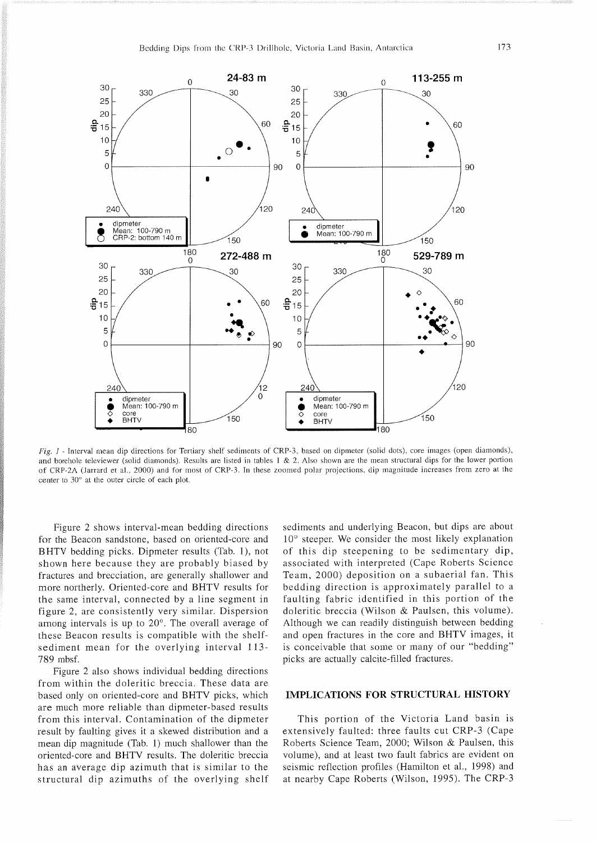

Fig. 1 - Interval mean dip directions for Tertiary shelf sediments of CRP-3, based on dipmeter (solid dots), core images (open diamonds), and borehole televiewer (solid diamonds). Results are listed in tables 1 & 2. Also shown are the mean structural dips for the lower portion of CRP-2A (Jarrard et al.. 2000) and for most of CRP-3. In these zoomed polar projections. dip magnitude increases from zero at the center to 30" at the outer circle of each plot.

Figure 2 shows interval-mean bedding directions for the Beacon sandstone, based on oriented-core and BHTV bedding picks. Dipmeter results (Tab. l), not shown here because they are probably biased by fractures and brecciation, are generally shallower and more northerly. Oriented-core and BHTV results for the same interval, connected by a line segment in figure 2, are consistently very similar. Dispersion among intervals is up to 20'. The overall average of these Beacon results is compatible with the shelfsediment mean for the overlying interval 113- 789 mbsf.

Figure 2 also shows individual bedding directions from within the doleritic breccia. These data are based only on oriented-core and BHTV picks, which are much more reliable than dipmeter-based results from this interval. Contamination of the dipmeter result by faulting gives it a skewed distribution and a mean dip magnitude (Tab. 1) much shallower than the oriented-core and BHTV results. The doleritic breccia has an average dip azimuth that is similar to the structural dip azimuths of the overlying shelf sediments and underlying Beacon, but dips are about  $10^{\circ}$  steeper. We consider the most likely explanation of this dip steepening to be sedimentary dip, associated with interpreted (Cape Roberts Science Team, 2000) deposition on a subaerial fan. This bedding direction is approximately parallel to a faulting fabric identified in this portion of the doleritic breccia (Wilson & Paulsen, this volume). Although we can readily distinguish between bedding and open fractures in the core and BHTV images, it is conceivable that some or many of our "bedding" picks are actually calcite-filled fractures.

## **IMPLICATIONS FOR STRUCTURAL HISTORY**

This portion of the Victoria Land basin is extensively faulted: three faults cut CRP-3 (Cape Roberts Science Team, 2000; Wilson & Paulsen, this volume), and at least two fault fabrics are evident on seismic reflection profiles (Hamilton et al., 1998) and at nearby Cape Roberts (Wilson, 1995). The CRP-3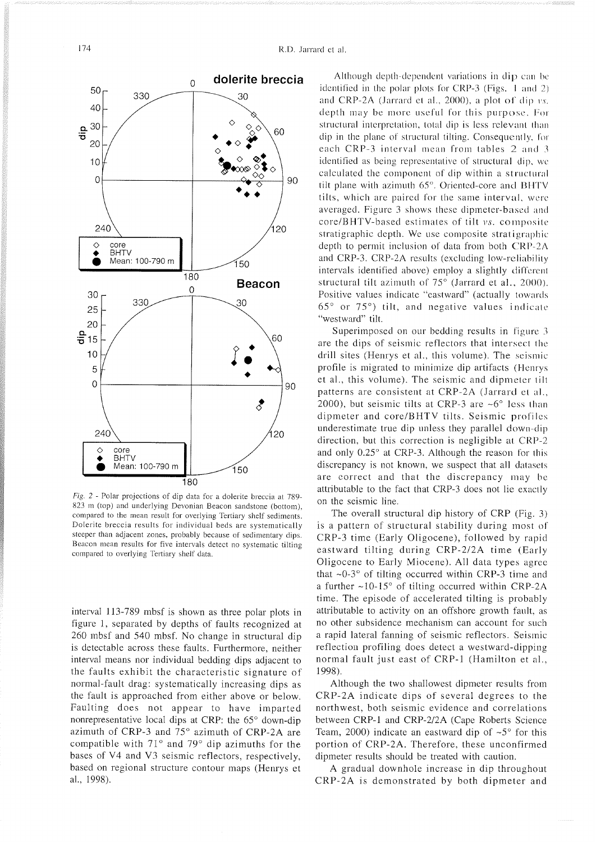

*Fig.* 2 - Polar projections of dip data for a dolerite breccia at 789- 823 m (top) and underlying Devonian Beacon sandstone (bottom). compared to the mean result for overlying Tertiary shelf sediments. Dolerite breccia results for individual beds are systematically steeper than adjacent zones. probably because of sedimentary dips. Beacon mean results for five intervals detect no systematic tilting compared to overlying Tertiary shelf data.

interval 113-789 mbsf is shown as three polar plots in figure 1, separated by depths of faults recognized at 260 mbsf and 540 mbsf. No change in structural dip is detectable across these faults. Furthermore, neither interval means nor individual bedding dips adjacent to the faults exhibit the characteristic signature of normal-fault drag: systematically increasing dips as the fault is approached from either above or below. Faulting does not appear to have imparted nonrepresentative local dips at CRP: the  $65^{\circ}$  down-dip azimuth of CRP-3 and 75° azimuth of CRP-2A are compatible with  $71^\circ$  and  $79^\circ$  dip azimuths for the bases of V4 and V3 seismic reflectors, respectively, based on regional structure contour maps (Henrys et al., 1998).

Although depth-dependent variations in dip can be identified in the polar plots for CRP-3 (Figs.  $1$  and  $2$ ) and CRP-2A (Jarrard et al., 2000), a plot of dip  $vs.$ depth may be more useful for this purpose. For structural interpretation, total dip is less relevant than dip in the plane of structural tilting. Consequently, for each CRP-3 interval mean from tables  $2$  and 3 identified as being representative of structural dip, we calculated the component of dip within a structural tilt plane with azimuth  $65^\circ$ . Oriented-core and BHTV tilts, which are paired for the same interval, were averaged. Figure 3 shows these dipmeter-based and core/BHTV-based estimates of tilt vs. composite stratigraphic depth. We use composite stratigraphic depth to permit inclusion of data from both CRP-2A and CRP-3. CRP-2A results (excluding low-reliability intervals identified above) employ a slightly different structural tilt azimuth of 75° (Jarrard et al., 2000). Positive values indicate "eastward" (actually towards  $65^{\circ}$  or  $75^{\circ}$ ) tilt, and negative values indicate "westward" tilt.

Superimposed on our bedding results in figure 3 are the dips of seismic reflectors that intersect the drill sites (Henrys et al.. this volume). The seismic profile is migrated to minimize dip artifacts (Henrys et al., this volume). The seismic and dipmeter tilt patterns are consistent at CRP-2A (Jarrard et al., 2000), but seismic tilts at CRP-3 are  $\sim6^{\circ}$  less than dipmeter and core/BHTV tilts. Seismic profiles underestimate true dip unless they parallel down-dip direction, but this correction is negligible at CRP-2 and only 0.25° at CRP-3. Although the reason for this discrepancy is not known, we suspect that all datasets are correct and that the discrepancy may be attributable to the fact that CRP-3 does not lie exactly on the seismic line.

The overall structural dip history of CRP (Fig. 3) is a pattern of structural stability during most of' CRP-3 time (Early Oligocene), followed by rapid eastward tilting during CRP-212A time (Early Oligocene to Early Miocene). All data types agree that  $\sim 0.3$ ° of tilting occurred within CRP-3 time and a further  $\sim 10-15^\circ$  of tilting occurred within CRP-2A time. The episode of accelerated tilting is probably attributable to activity on an offshore growth fault, as no other subsidence mechanism can account for such a rapid lateral fanning of seismic reflectors. Seismic reflection profiling does detect a westward-dipping normal fault just east of CRP-1 (Hamilton et al., 1998).

Although the two shallowest dipmeter results from CRP-2A indicate dips of several degrees to the northwest, both seismic evidence and correlations between CRP-1 and CRP-2/2A (Cape Roberts Science Team, 2000) indicate an eastward dip of  $\sim 5^{\circ}$  for this portion of CRP-2A. Therefore, these unconfirmed dipmeter results should be treated with caution.

A gradual downhole increase in dip throughout CRP-2A is demonstrated by both dipmeter and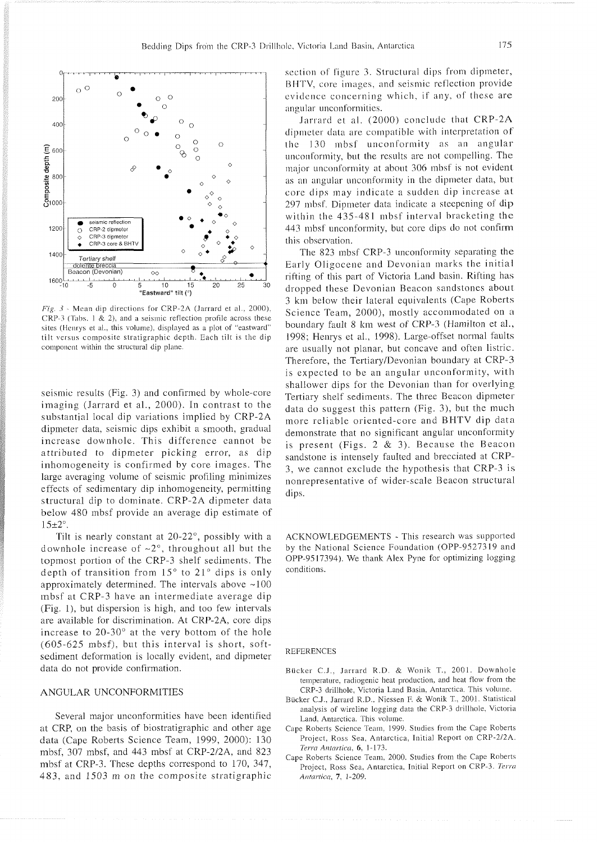

Fig. 3 - Mean dip directions for CRP-2A (Jarrard et al., 2000), CRP-3 (Tabs. 1  $\&$  2), and a seismic reflection profile across these sites (Henrys et al., this volume), displayed as a plot of "eastward" tilt versus composite stratigraphic depth. Each tilt is the dip component within the structural dip plane.

seismic results (Fig. 3) and confirmed by whole-core imaging (Jarrard et al., 2000). In contrast to the substantial local dip variations implied by CRP-2A dipmeter data, seismic dips exhibit a smooth, gradual increase downhole. This difference cannot be attributed to dipmeter picking error, as dip inhomogeneity is confirmed by core images. The large averaging volume of seismic profiling minimizes effects of sedimentary dip inhomogeneity, permitting structural dip to dominate. CRP-2A dipmeter data below 480 mbsf provide an average dip estimate of  $15\pm2^\circ$ .

Tilt is nearly constant at  $20-22^\circ$ , possibly with a downhole increase of  $\sim 2^{\circ}$ , throughout all but the topmost portion of the CRP-3 shelf sediments. The depth of transition from  $15^{\circ}$  to  $21^{\circ}$  dips is only approximately determined. The intervals above  $\sim$ 100 mbsf at CRP-3 have an intermediate average dip (Fig. l), but dispersion is high, and too few intervals are available for discrimination. At CRP-2A, core dips increase to  $20-30^\circ$  at the very bottom of the hole (605-625 mbsf). but this interval is short, softsediment deformation is locally evident, and dipmeter data do not provide confirmation.

## ANGULAR UNCONFORMITIES

Several major unconformities have been identified at CRP, on the basis of biostratigraphic and other age data (Cape Roberts Science Team, 1999, 2000): 130 mbsf, 307 mbsf, and 443 mbsf at CRP-2/2A, and 823 mbsf at CRP-3. These depths correspond to 170, 347, 483, and 1503 m on the composite stratigraphic

section of figure 3. Structural dips from dipmeter, BHTV, core images, and seismic reflection provide evidence concerning which, if any. of these are angular unconformities.

Jarrard et al. (2000) conclude that CRP-2A dipmeter data are compatible with interpretation of. the 130 mbsf unconformity as an angular unconformity. but the results are not compelling. The major unconformity at about 306 mbsf is not evident as an angular unconformity in the dipmeter data, but core dips may indicate a sudden dip increase at 297 mbsf. Dipmeter data indicate a steepening of dip within the  $435-481$  mbsf interval bracketing the 443 mbsf unconforrnity, but core dips do not confirm this observation.

The 823 mbsf CRP-3 unconformity separating the Early Oligocene and Devonian marks the initial rifting of this part of Victoria Land basin. Rifting has dropped these Devonian Beacon sandstones about 3 km below their lateral equivalents (Cape Roberts Science Team, 2000), mostly accommodated on a boundary fault 8 km west of CRP-3 (Hamilton et al., 1998; Henrys et al., 1998). Large-offset normal faults are usually not planar, but concave and often listric. Therefore, the Tertiary/Devonian boundary at CRP-3 is expected to be an angular unconformity, with shallower dips for the Devonian than for overlying Tertiary shelf sediments. The three Beacon dipmeter data do suggest this pattern (Fig. 3), but the much more reliable oriented-core and BHTV dip data demonstrate that no significant angular unconformity is present (Figs. 2  $&$  3). Because the Beacon sandstone is intensely faulted and brecciated at CRP-3, we cannot exclude the hypothesis that CRP-3 is nonrepresentative of wider-scale Beacon structural dips.

ACKNOWLEDGEMENTS - This research was supported by the National Science Foundation (OPP-9527319 and OPP-9517394). We thank Alex Pyne for optimizing logging conditions.

#### REFERENCES

- Bücker C.J., Jarrard R.D. & Wonik T., 2001. Downhole temperature. radiogenic heat production. and heat flow from the CRP-3 drillhole. Victoria Land Basin. Antarctica. This volume.
- Bucker C.J.. Jarrard R.D.. Niessen F. & Wonik T.. 2001. Statistical analysis of wireline logging data the CRP-3 drillhole. Victoria Land. Antarctica. This volume.
- Cape Roberts Science Team. 1999. Studies from the Cape Roberts Project. Ross Sea. Antarctica. Initial Report on CRP-212A. *Terra Anfartica.* 6. 1-173.
- Cape Roberts Science Team. 2000. Studies from the Cape Roberts Project. Ross Sea. Antarctica. Initial Report on CRP-3. *Terra Antcirticci.* **7.** 1-209.